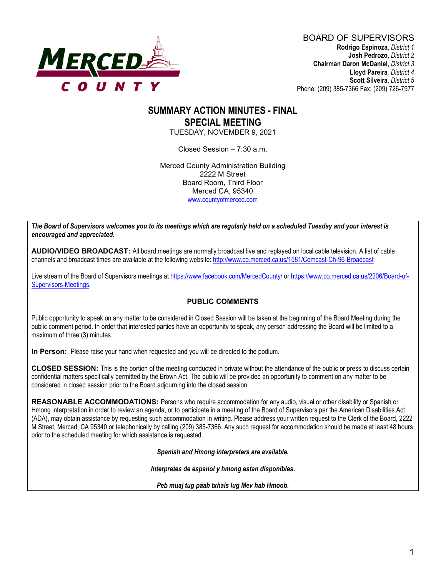

# **SUMMARY ACTION MINUTES - FINAL SPECIAL MEETING**

TUESDAY, NOVEMBER 9, 2021

Closed Session – 7:30 a.m.

Merced County Administration Building 2222 M Street Board Room, Third Floor Merced CA, 95340 [www.countyofmerced.com](http://www.countyofmerced.com/)

*The Board of Supervisors welcomes you to its meetings which are regularly held on a scheduled Tuesday and your interest is encouraged and appreciated.*

**AUDIO/VIDEO BROADCAST:** All board meetings are normally broadcast live and replayed on local cable television. A list of cable channels and broadcast times are available at the following website[: http://www.co.merced.ca.us/1581/Comcast-Ch-96-Broadcast](http://www.co.merced.ca.us/1581/Comcast-Ch-96-Broadcast)

Live stream of the Board of Supervisors meetings at<https://www.facebook.com/MercedCounty/> o[r https://www.co.merced.ca.us/2206/Board-of-](https://www.co.merced.ca.us/2206/Board-of-Supervisors-Meetings)[Supervisors-Meetings.](https://www.co.merced.ca.us/2206/Board-of-Supervisors-Meetings)

#### **PUBLIC COMMENTS**

Public opportunity to speak on any matter to be considered in Closed Session will be taken at the beginning of the Board Meeting during the public comment period. In order that interested parties have an opportunity to speak, any person addressing the Board will be limited to a maximum of three (3) minutes.

**In Person**: Please raise your hand when requested and you will be directed to the podium.

**CLOSED SESSION:** This is the portion of the meeting conducted in private without the attendance of the public or press to discuss certain confidential matters specifically permitted by the Brown Act. The public will be provided an opportunity to comment on any matter to be considered in closed session prior to the Board adjourning into the closed session.

**REASONABLE ACCOMMODATIONS:** Persons who require accommodation for any audio, visual or other disability or Spanish or Hmong interpretation in order to review an agenda, or to participate in a meeting of the Board of Supervisors per the American Disabilities Act (ADA), may obtain assistance by requesting such accommodation in writing. Please address your written request to the Clerk of the Board, 2222 M Street, Merced, CA 95340 or telephonically by calling (209) 385-7366. Any such request for accommodation should be made at least 48 hours prior to the scheduled meeting for which assistance is requested.

*Spanish and Hmong interpreters are available.*

*Interpretes de espanol y hmong estan disponibles.*

*Peb muaj tug paab txhais lug Mev hab Hmoob.*